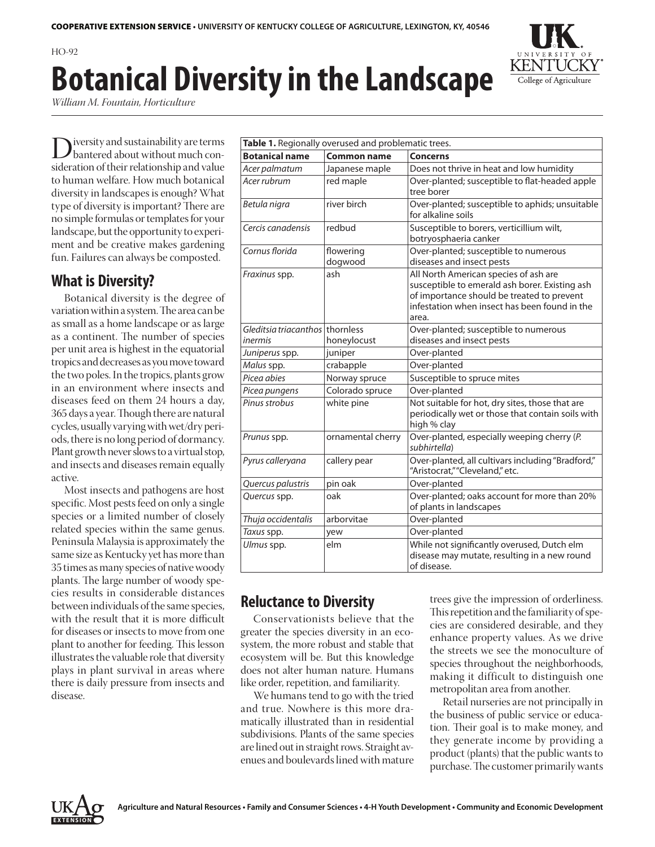## $HO-92$ **Botanical Diversity in the Landscape**

*William M. Fountain, Horticulture*

Diversity and sustainability are terms<br>
bantered about without much con-<br>
sideration of their relationship and value sideration of their relationship and value to human welfare. How much botanical diversity in landscapes is enough? What type of diversity is important? There are no simple formulas or templates for your landscape, but the opportunity to experiment and be creative makes gardening fun. Failures can always be composted.

## **What is Diversity?**

Botanical diversity is the degree of variation within a system. The area can be as small as a home landscape or as large as a continent. The number of species per unit area is highest in the equatorial tropics and decreases as you move toward the two poles. In the tropics, plants grow in an environment where insects and diseases feed on them 24 hours a day, 365 days a year. Though there are natural cycles, usually varying with wet/dry periods, there is no long period of dormancy. Plant growth never slows to a virtual stop, and insects and diseases remain equally active.

Most insects and pathogens are host specific. Most pests feed on only a single species or a limited number of closely related species within the same genus. Peninsula Malaysia is approximately the same size as Kentucky yet has more than 35 times as many species of native woody plants. The large number of woody species results in considerable distances between individuals of the same species, with the result that it is more difficult for diseases or insects to move from one plant to another for feeding. This lesson illustrates the valuable role that diversity plays in plant survival in areas where there is daily pressure from insects and disease.

| Table 1. Regionally overused and problematic trees. |                      |                                                                                                                                                                                                 |  |  |
|-----------------------------------------------------|----------------------|-------------------------------------------------------------------------------------------------------------------------------------------------------------------------------------------------|--|--|
| <b>Botanical name</b>                               | <b>Common name</b>   | <b>Concerns</b>                                                                                                                                                                                 |  |  |
| Acer palmatum                                       | Japanese maple       | Does not thrive in heat and low humidity                                                                                                                                                        |  |  |
| Acer rubrum                                         | red maple            | Over-planted; susceptible to flat-headed apple<br>tree borer                                                                                                                                    |  |  |
| Betula nigra                                        | river birch          | Over-planted; susceptible to aphids; unsuitable<br>for alkaline soils                                                                                                                           |  |  |
| Cercis canadensis                                   | redbud               | Susceptible to borers, verticillium wilt,<br>botryosphaeria canker                                                                                                                              |  |  |
| Cornus florida                                      | flowering<br>dogwood | Over-planted; susceptible to numerous<br>diseases and insect pests                                                                                                                              |  |  |
| Fraxinus spp.                                       | ash                  | All North American species of ash are<br>susceptible to emerald ash borer. Existing ash<br>of importance should be treated to prevent<br>infestation when insect has been found in the<br>area. |  |  |
| Gleditsia triacanthos thornless<br>inermis          | honeylocust          | Over-planted; susceptible to numerous<br>diseases and insect pests                                                                                                                              |  |  |
| Juniperus spp.                                      | juniper              | Over-planted                                                                                                                                                                                    |  |  |
| Malus spp.                                          | crabapple            | Over-planted                                                                                                                                                                                    |  |  |
| Picea abies                                         | Norway spruce        | Susceptible to spruce mites                                                                                                                                                                     |  |  |
| Picea pungens                                       | Colorado spruce      | Over-planted                                                                                                                                                                                    |  |  |
| Pinus strobus                                       | white pine           | Not suitable for hot, dry sites, those that are<br>periodically wet or those that contain soils with<br>high % clay                                                                             |  |  |
| Prunus spp.                                         | ornamental cherry    | Over-planted, especially weeping cherry (P.<br>subhirtella)                                                                                                                                     |  |  |
| Pyrus calleryana                                    | callery pear         | Over-planted, all cultivars including "Bradford,"<br>"Aristocrat," "Cleveland," etc.                                                                                                            |  |  |
| Quercus palustris                                   | pin oak              | Over-planted                                                                                                                                                                                    |  |  |
| Quercus spp.                                        | oak                  | Over-planted; oaks account for more than 20%<br>of plants in landscapes                                                                                                                         |  |  |
| Thuja occidentalis                                  | arborvitae           | Over-planted                                                                                                                                                                                    |  |  |
| Taxus spp.                                          | yew                  | Over-planted                                                                                                                                                                                    |  |  |
| Ulmus spp.                                          | elm                  | While not significantly overused, Dutch elm<br>disease may mutate, resulting in a new round<br>of disease.                                                                                      |  |  |

## **Reluctance to Diversity**

Conservationists believe that the greater the species diversity in an ecosystem, the more robust and stable that ecosystem will be. But this knowledge does not alter human nature. Humans like order, repetition, and familiarity.

We humans tend to go with the tried and true. Nowhere is this more dramatically illustrated than in residential subdivisions. Plants of the same species are lined out in straight rows. Straight avenues and boulevards lined with mature trees give the impression of orderliness. This repetition and the familiarity of species are considered desirable, and they enhance property values. As we drive the streets we see the monoculture of species throughout the neighborhoods, making it difficult to distinguish one metropolitan area from another.

Retail nurseries are not principally in the business of public service or education. Their goal is to make money, and they generate income by providing a product (plants) that the public wants to purchase. The customer primarily wants